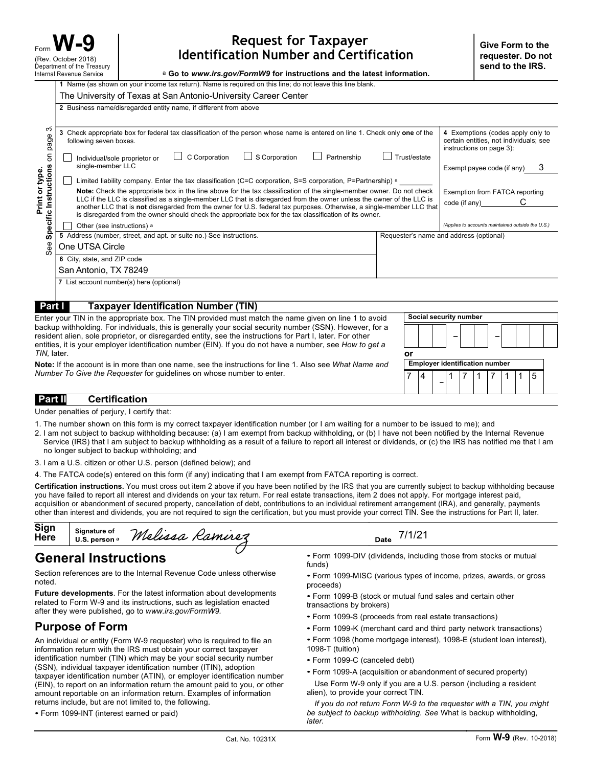## **Request for Taxpayer Identification Number and Certification**

a **Go to** *www.irs.gov/FormW9* **for instructions and the latest information.**

|                                                                                                                                                                                                                                                                                                                                   | 1 Name (as shown on your income tax return). Name is required on this line; do not leave this line blank.                                                                                                                                                                                                                                                                                                                                                                                                                                                                                                                                                      |             |    |   |                                                   |                        |                                                                                                         |   |  |  |  |
|-----------------------------------------------------------------------------------------------------------------------------------------------------------------------------------------------------------------------------------------------------------------------------------------------------------------------------------|----------------------------------------------------------------------------------------------------------------------------------------------------------------------------------------------------------------------------------------------------------------------------------------------------------------------------------------------------------------------------------------------------------------------------------------------------------------------------------------------------------------------------------------------------------------------------------------------------------------------------------------------------------------|-------------|----|---|---------------------------------------------------|------------------------|---------------------------------------------------------------------------------------------------------|---|--|--|--|
| က<br>Specific Instructions on page<br>Print or type.<br>See                                                                                                                                                                                                                                                                       | The University of Texas at San Antonio-University Career Center                                                                                                                                                                                                                                                                                                                                                                                                                                                                                                                                                                                                |             |    |   |                                                   |                        |                                                                                                         |   |  |  |  |
|                                                                                                                                                                                                                                                                                                                                   | 2 Business name/disregarded entity name, if different from above                                                                                                                                                                                                                                                                                                                                                                                                                                                                                                                                                                                               |             |    |   |                                                   |                        |                                                                                                         |   |  |  |  |
|                                                                                                                                                                                                                                                                                                                                   |                                                                                                                                                                                                                                                                                                                                                                                                                                                                                                                                                                                                                                                                |             |    |   |                                                   |                        |                                                                                                         |   |  |  |  |
|                                                                                                                                                                                                                                                                                                                                   | 3 Check appropriate box for federal tax classification of the person whose name is entered on line 1. Check only one of the<br>following seven boxes.                                                                                                                                                                                                                                                                                                                                                                                                                                                                                                          |             |    |   |                                                   |                        | 4 Exemptions (codes apply only to<br>certain entities, not individuals; see<br>instructions on page 3): |   |  |  |  |
|                                                                                                                                                                                                                                                                                                                                   | C Corporation<br>$\Box$ S Corporation<br>Partnership<br>Trust/estate<br>Individual/sole proprietor or<br>single-member LLC                                                                                                                                                                                                                                                                                                                                                                                                                                                                                                                                     |             |    |   | 3<br>Exempt payee code (if any)                   |                        |                                                                                                         |   |  |  |  |
|                                                                                                                                                                                                                                                                                                                                   | Limited liability company. Enter the tax classification (C=C corporation, S=S corporation, P=Partnership) a                                                                                                                                                                                                                                                                                                                                                                                                                                                                                                                                                    |             |    |   |                                                   |                        |                                                                                                         |   |  |  |  |
|                                                                                                                                                                                                                                                                                                                                   | Note: Check the appropriate box in the line above for the tax classification of the single-member owner. Do not check<br>LLC if the LLC is classified as a single-member LLC that is disregarded from the owner unless the owner of the LLC is<br>another LLC that is not disregarded from the owner for U.S. federal tax purposes. Otherwise, a single-member LLC that<br>is disregarded from the owner should check the appropriate box for the tax classification of its owner.                                                                                                                                                                             |             |    |   |                                                   |                        | Exemption from FATCA reporting<br>С<br>code (if any)                                                    |   |  |  |  |
|                                                                                                                                                                                                                                                                                                                                   | Other (see instructions) a                                                                                                                                                                                                                                                                                                                                                                                                                                                                                                                                                                                                                                     |             |    |   | (Applies to accounts maintained outside the U.S.) |                        |                                                                                                         |   |  |  |  |
|                                                                                                                                                                                                                                                                                                                                   | 5 Address (number, street, and apt. or suite no.) See instructions.                                                                                                                                                                                                                                                                                                                                                                                                                                                                                                                                                                                            |             |    |   | Requester's name and address (optional)           |                        |                                                                                                         |   |  |  |  |
|                                                                                                                                                                                                                                                                                                                                   | One UTSA Circle                                                                                                                                                                                                                                                                                                                                                                                                                                                                                                                                                                                                                                                |             |    |   |                                                   |                        |                                                                                                         |   |  |  |  |
|                                                                                                                                                                                                                                                                                                                                   | 6 City, state, and ZIP code<br>San Antonio, TX 78249                                                                                                                                                                                                                                                                                                                                                                                                                                                                                                                                                                                                           |             |    |   |                                                   |                        |                                                                                                         |   |  |  |  |
|                                                                                                                                                                                                                                                                                                                                   | 7 List account number(s) here (optional)                                                                                                                                                                                                                                                                                                                                                                                                                                                                                                                                                                                                                       |             |    |   |                                                   |                        |                                                                                                         |   |  |  |  |
|                                                                                                                                                                                                                                                                                                                                   |                                                                                                                                                                                                                                                                                                                                                                                                                                                                                                                                                                                                                                                                |             |    |   |                                                   |                        |                                                                                                         |   |  |  |  |
| Part I                                                                                                                                                                                                                                                                                                                            | <b>Taxpayer Identification Number (TIN)</b>                                                                                                                                                                                                                                                                                                                                                                                                                                                                                                                                                                                                                    |             |    |   |                                                   |                        |                                                                                                         |   |  |  |  |
|                                                                                                                                                                                                                                                                                                                                   | Enter your TIN in the appropriate box. The TIN provided must match the name given on line 1 to avoid                                                                                                                                                                                                                                                                                                                                                                                                                                                                                                                                                           |             |    |   |                                                   | Social security number |                                                                                                         |   |  |  |  |
| backup withholding. For individuals, this is generally your social security number (SSN). However, for a<br>resident alien, sole proprietor, or disregarded entity, see the instructions for Part I, later. For other<br>entities, it is your employer identification number (EIN). If you do not have a number, see How to get a |                                                                                                                                                                                                                                                                                                                                                                                                                                                                                                                                                                                                                                                                |             |    |   |                                                   |                        |                                                                                                         |   |  |  |  |
| TIN, later.                                                                                                                                                                                                                                                                                                                       |                                                                                                                                                                                                                                                                                                                                                                                                                                                                                                                                                                                                                                                                |             | or |   |                                                   |                        |                                                                                                         |   |  |  |  |
|                                                                                                                                                                                                                                                                                                                                   | <b>Note:</b> If the account is in more than one name, see the instructions for line 1. Also see What Name and                                                                                                                                                                                                                                                                                                                                                                                                                                                                                                                                                  |             |    |   | <b>Employer identification number</b>             |                        |                                                                                                         |   |  |  |  |
| Number To Give the Requester for guidelines on whose number to enter.<br>7<br>4                                                                                                                                                                                                                                                   |                                                                                                                                                                                                                                                                                                                                                                                                                                                                                                                                                                                                                                                                |             |    | 1 | 7<br>1                                            | 7                      | 1<br>1                                                                                                  | 5 |  |  |  |
| <b>Part II</b>                                                                                                                                                                                                                                                                                                                    | <b>Certification</b>                                                                                                                                                                                                                                                                                                                                                                                                                                                                                                                                                                                                                                           |             |    |   |                                                   |                        |                                                                                                         |   |  |  |  |
|                                                                                                                                                                                                                                                                                                                                   | Under penalties of perjury, I certify that:                                                                                                                                                                                                                                                                                                                                                                                                                                                                                                                                                                                                                    |             |    |   |                                                   |                        |                                                                                                         |   |  |  |  |
|                                                                                                                                                                                                                                                                                                                                   | 1. The number shown on this form is my correct taxpayer identification number (or I am waiting for a number to be issued to me); and                                                                                                                                                                                                                                                                                                                                                                                                                                                                                                                           |             |    |   |                                                   |                        |                                                                                                         |   |  |  |  |
|                                                                                                                                                                                                                                                                                                                                   | 2. I am not subject to backup withholding because: (a) I am exempt from backup withholding, or (b) I have not been notified by the Internal Revenue<br>Service (IRS) that I am subject to backup withholding as a result of a failure to report all interest or dividends, or (c) the IRS has notified me that I am<br>no longer subject to backup withholding; and                                                                                                                                                                                                                                                                                            |             |    |   |                                                   |                        |                                                                                                         |   |  |  |  |
|                                                                                                                                                                                                                                                                                                                                   | 3. I am a U.S. citizen or other U.S. person (defined below); and                                                                                                                                                                                                                                                                                                                                                                                                                                                                                                                                                                                               |             |    |   |                                                   |                        |                                                                                                         |   |  |  |  |
|                                                                                                                                                                                                                                                                                                                                   | 4. The FATCA code(s) entered on this form (if any) indicating that I am exempt from FATCA reporting is correct.                                                                                                                                                                                                                                                                                                                                                                                                                                                                                                                                                |             |    |   |                                                   |                        |                                                                                                         |   |  |  |  |
|                                                                                                                                                                                                                                                                                                                                   | Certification instructions. You must cross out item 2 above if you have been notified by the IRS that you are currently subject to backup withholding because<br>you have failed to report all interest and dividends on your tax return. For real estate transactions, item 2 does not apply. For mortgage interest paid,<br>acquisition or abandonment of secured property, cancellation of debt, contributions to an individual retirement arrangement (IRA), and generally, payments<br>other than interest and dividends, you are not required to sign the certification, but you must provide your correct TIN. See the instructions for Part II, later. |             |    |   |                                                   |                        |                                                                                                         |   |  |  |  |
| <b>Sign</b><br>Here                                                                                                                                                                                                                                                                                                               | Signature of<br>Melissa Ramirez<br>U.S. person a                                                                                                                                                                                                                                                                                                                                                                                                                                                                                                                                                                                                               | Date 7/1/21 |    |   |                                                   |                        |                                                                                                         |   |  |  |  |

## **Part II Certification**

- 1. The number shown on this form is my correct taxpayer identification number (or I am waiting for a number to be issued to me); and
- 2. I am not subject to backup withholding because: (a) I am exempt from backup withholding, or (b) I have not been notified by the Internal Revenue Service (IRS) that I am subject to backup withholding as a result of a failure to report all interest or dividends, or (c) the IRS has notified me that I am no longer subject to backup withholding; and
- 3. I am a U.S. citizen or other U.S. person (defined below); and
- 4. The FATCA code(s) entered on this form (if any) indicating that I am exempt from FATCA reporting is correct.

| Sign<br>Here | <b>Signature of</b><br>U.S. person a | M<br>Kamırez<br>melissa . | Date |
|--------------|--------------------------------------|---------------------------|------|
|              |                                      |                           |      |

## **General Instructions**

Section references are to the Internal Revenue Code unless otherwise noted.

**Future developments**. For the latest information about developments related to Form W-9 and its instructions, such as legislation enacted after they were published, go to *www.irs.gov/FormW9.*

## **Purpose of Form**

An individual or entity (Form W-9 requester) who is required to file an information return with the IRS must obtain your correct taxpayer identification number (TIN) which may be your social security number (SSN), individual taxpayer identification number (ITIN), adoption taxpayer identification number (ATIN), or employer identification number (EIN), to report on an information return the amount paid to you, or other amount reportable on an information return. Examples of information returns include, but are not limited to, the following.

|  | • Form 1099-INT (interest earned or paid) |  |  |
|--|-------------------------------------------|--|--|
|  |                                           |  |  |

• Form 1099-DIV (dividends, including those from stocks or mutual funds)

- Form 1099-MISC (various types of income, prizes, awards, or gross proceeds)
- Form 1099-B (stock or mutual fund sales and certain other transactions by brokers)
- Form 1099-S (proceeds from real estate transactions)
- Form 1099-K (merchant card and third party network transactions)
- Form 1098 (home mortgage interest), 1098-E (student loan interest), 1098-T (tuition)
- Form 1099-C (canceled debt)
- Form 1099-A (acquisition or abandonment of secured property)
- Use Form W-9 only if you are a U.S. person (including a resident alien), to provide your correct TIN.

*If you do not return Form W-9 to the requester with a TIN, you might be subject to backup withholding. See* What is backup withholding, *later.*